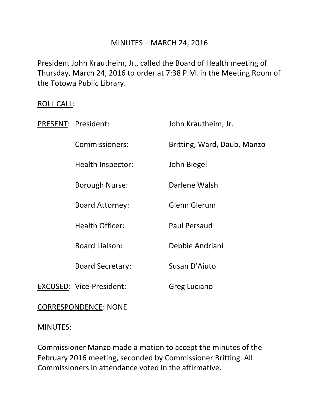## MINUTES – MARCH 24, 2016

President John Krautheim, Jr., called the Board of Health meeting of Thursday, March 24, 2016 to order at 7:38 P.M. in the Meeting Room of the Totowa Public Library.

### ROLL CALL:

| PRESENT: President:             | John Krautheim, Jr.         |
|---------------------------------|-----------------------------|
| Commissioners:                  | Britting, Ward, Daub, Manzo |
| Health Inspector:               | John Biegel                 |
| Borough Nurse:                  | Darlene Walsh               |
| <b>Board Attorney:</b>          | Glenn Glerum                |
| <b>Health Officer:</b>          | <b>Paul Persaud</b>         |
| <b>Board Liaison:</b>           | Debbie Andriani             |
| <b>Board Secretary:</b>         | Susan D'Aiuto               |
| <b>EXCUSED: Vice-President:</b> | Greg Luciano                |
|                                 |                             |

## CORRESPONDENCE: NONE

### MINUTES:

Commissioner Manzo made a motion to accept the minutes of the February 2016 meeting, seconded by Commissioner Britting. All Commissioners in attendance voted in the affirmative.